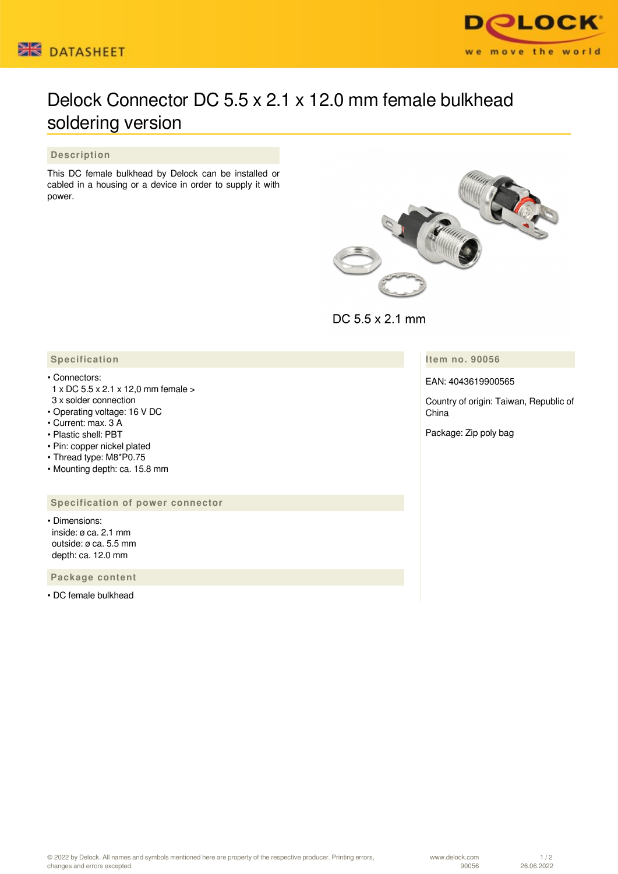



# Delock Connector DC 5.5 x 2.1 x 12.0 mm female bulkhead soldering version

## **Description**

This DC female bulkhead by Delock can be installed or cabled in a housing or a device in order to supply it with power.



DC 5.5 x 2.1 mm

**Item no. 90056**

EAN: 4043619900565

Country of origin: Taiwan, Republic of China

Package: Zip poly bag

## **Specification**

#### • Connectors:

- 1 x DC 5.5 x 2.1 x 12,0 mm female >
- 3 x solder connection • Operating voltage: 16 V DC
- Current: max. 3 A
- Plastic shell: PBT
- Pin: copper nickel plated
- Thread type: M8\*P0.75
- Mounting depth: ca. 15.8 mm

### **Specification of power connector**

• Dimensions: inside: ø ca. 2.1 mm outside: ø ca. 5.5 mm depth: ca. 12.0 mm

 **Package content**

• DC female bulkhead